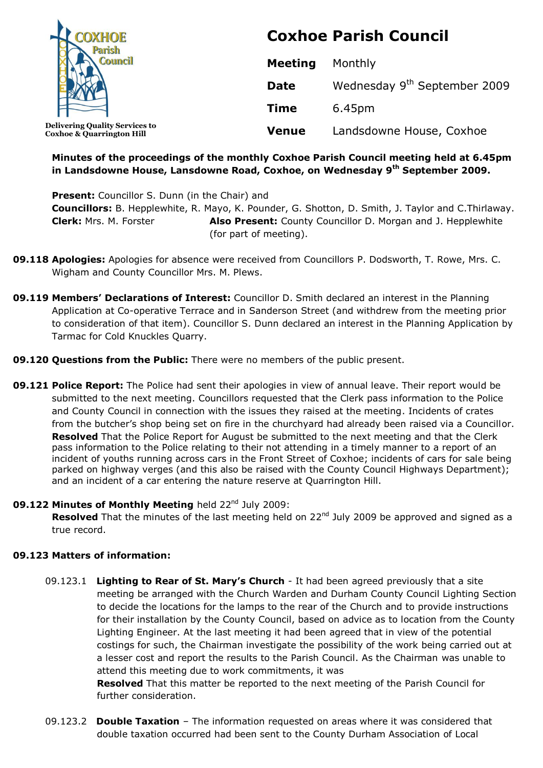| <b>COXHOE</b>                                                                 | <b>Coxhoe Parish Council</b> |                                          |
|-------------------------------------------------------------------------------|------------------------------|------------------------------------------|
|                                                                               | <b>Meeting</b>               | Monthly                                  |
|                                                                               | <b>Date</b>                  | Wednesday 9 <sup>th</sup> September 2009 |
|                                                                               | <b>Time</b>                  | 6.45pm                                   |
| <b>Delivering Quality Services to</b><br><b>Coxhoe &amp; Quarrington Hill</b> | <b>Venue</b>                 | Landsdowne House, Coxhoe                 |

# **Minutes of the proceedings of the monthly Coxhoe Parish Council meeting held at 6.45pm in Landsdowne House, Lansdowne Road, Coxhoe, on Wednesday 9 th September 2009.**

**Present:** Councillor S. Dunn (in the Chair) and **Councillors:** B. Hepplewhite, R. Mayo, K. Pounder, G. Shotton, D. Smith, J. Taylor and C.Thirlaway. **Clerk:** Mrs. M. Forster **Also Present:** County Councillor D. Morgan and J. Hepplewhite (for part of meeting).

- **09.118 Apologies:** Apologies for absence were received from Councillors P. Dodsworth, T. Rowe, Mrs. C. Wigham and County Councillor Mrs. M. Plews.
- **09.119 Members' Declarations of Interest:** Councillor D. Smith declared an interest in the Planning Application at Co-operative Terrace and in Sanderson Street (and withdrew from the meeting prior to consideration of that item). Councillor S. Dunn declared an interest in the Planning Application by Tarmac for Cold Knuckles Quarry.
- **09.120 Questions from the Public:** There were no members of the public present.
- **09.121 Police Report:** The Police had sent their apologies in view of annual leave. Their report would be submitted to the next meeting. Councillors requested that the Clerk pass information to the Police and County Council in connection with the issues they raised at the meeting. Incidents of crates from the butcher's shop being set on fire in the churchyard had already been raised via a Councillor. **Resolved** That the Police Report for August be submitted to the next meeting and that the Clerk pass information to the Police relating to their not attending in a timely manner to a report of an incident of youths running across cars in the Front Street of Coxhoe; incidents of cars for sale being parked on highway verges (and this also be raised with the County Council Highways Department); and an incident of a car entering the nature reserve at Quarrington Hill.

### 09.122 Minutes of Monthly Meeting held 22<sup>nd</sup> July 2009:

Resolved That the minutes of the last meeting held on 22<sup>nd</sup> July 2009 be approved and signed as a true record.

### **09.123 Matters of information:**

09.123.1 **Lighting to Rear of St. Mary's Church** - It had been agreed previously that a site meeting be arranged with the Church Warden and Durham County Council Lighting Section to decide the locations for the lamps to the rear of the Church and to provide instructions for their installation by the County Council, based on advice as to location from the County Lighting Engineer. At the last meeting it had been agreed that in view of the potential costings for such, the Chairman investigate the possibility of the work being carried out at a lesser cost and report the results to the Parish Council. As the Chairman was unable to attend this meeting due to work commitments, it was

**Resolved** That this matter be reported to the next meeting of the Parish Council for further consideration.

09.123.2 **Double Taxation** – The information requested on areas where it was considered that double taxation occurred had been sent to the County Durham Association of Local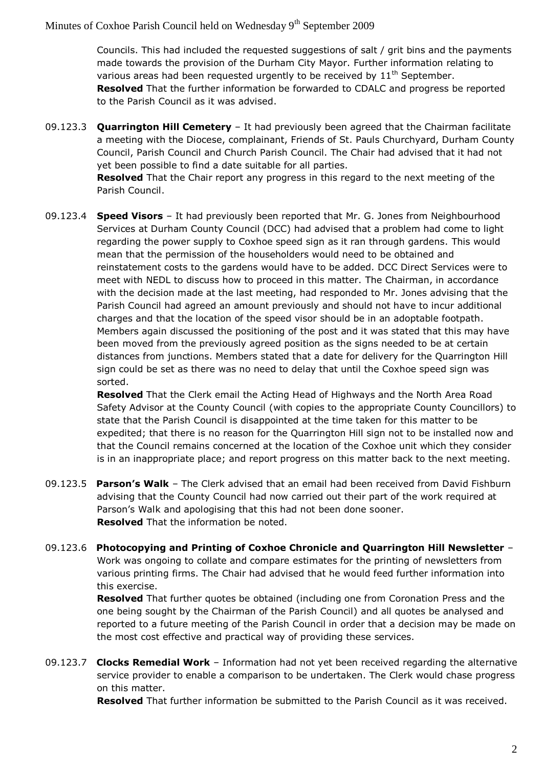Councils. This had included the requested suggestions of salt / grit bins and the payments made towards the provision of the Durham City Mayor. Further information relating to various areas had been requested urgently to be received by  $11<sup>th</sup>$  September. **Resolved** That the further information be forwarded to CDALC and progress be reported to the Parish Council as it was advised.

09.123.3 **Quarrington Hill Cemetery** – It had previously been agreed that the Chairman facilitate a meeting with the Diocese, complainant, Friends of St. Pauls Churchyard, Durham County Council, Parish Council and Church Parish Council. The Chair had advised that it had not yet been possible to find a date suitable for all parties.

> **Resolved** That the Chair report any progress in this regard to the next meeting of the Parish Council.

09.123.4 **Speed Visors** – It had previously been reported that Mr. G. Jones from Neighbourhood Services at Durham County Council (DCC) had advised that a problem had come to light regarding the power supply to Coxhoe speed sign as it ran through gardens. This would mean that the permission of the householders would need to be obtained and reinstatement costs to the gardens would have to be added. DCC Direct Services were to meet with NEDL to discuss how to proceed in this matter. The Chairman, in accordance with the decision made at the last meeting, had responded to Mr. Jones advising that the Parish Council had agreed an amount previously and should not have to incur additional charges and that the location of the speed visor should be in an adoptable footpath. Members again discussed the positioning of the post and it was stated that this may have been moved from the previously agreed position as the signs needed to be at certain distances from junctions. Members stated that a date for delivery for the Quarrington Hill sign could be set as there was no need to delay that until the Coxhoe speed sign was sorted.

**Resolved** That the Clerk email the Acting Head of Highways and the North Area Road Safety Advisor at the County Council (with copies to the appropriate County Councillors) to state that the Parish Council is disappointed at the time taken for this matter to be expedited; that there is no reason for the Quarrington Hill sign not to be installed now and that the Council remains concerned at the location of the Coxhoe unit which they consider is in an inappropriate place; and report progress on this matter back to the next meeting.

- 09.123.5 **Parson's Walk** The Clerk advised that an email had been received from David Fishburn advising that the County Council had now carried out their part of the work required at Parson's Walk and apologising that this had not been done sooner. **Resolved** That the information be noted.
- 09.123.6 **Photocopying and Printing of Coxhoe Chronicle and Quarrington Hill Newsletter** Work was ongoing to collate and compare estimates for the printing of newsletters from various printing firms. The Chair had advised that he would feed further information into this exercise.

**Resolved** That further quotes be obtained (including one from Coronation Press and the one being sought by the Chairman of the Parish Council) and all quotes be analysed and reported to a future meeting of the Parish Council in order that a decision may be made on the most cost effective and practical way of providing these services.

09.123.7 **Clocks Remedial Work** – Information had not yet been received regarding the alternative service provider to enable a comparison to be undertaken. The Clerk would chase progress on this matter.

**Resolved** That further information be submitted to the Parish Council as it was received.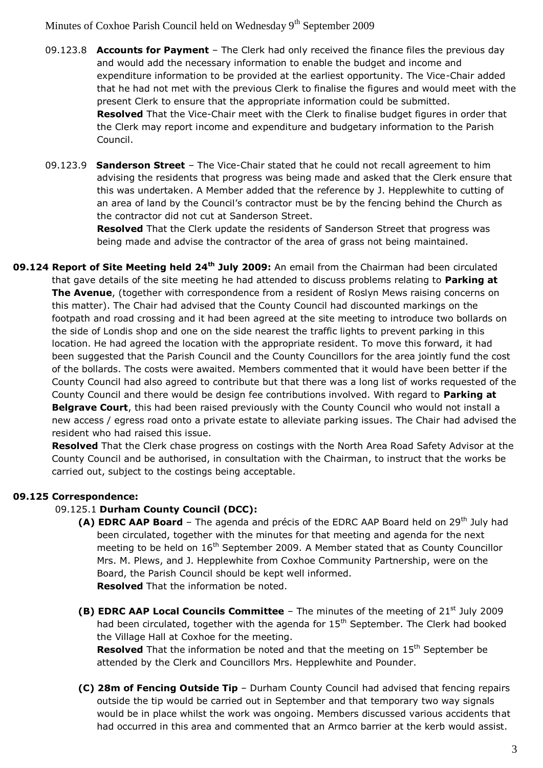- 09.123.8 **Accounts for Payment** The Clerk had only received the finance files the previous day and would add the necessary information to enable the budget and income and expenditure information to be provided at the earliest opportunity. The Vice-Chair added that he had not met with the previous Clerk to finalise the figures and would meet with the present Clerk to ensure that the appropriate information could be submitted. **Resolved** That the Vice-Chair meet with the Clerk to finalise budget figures in order that the Clerk may report income and expenditure and budgetary information to the Parish Council.
- 09.123.9 **Sanderson Street** The Vice-Chair stated that he could not recall agreement to him advising the residents that progress was being made and asked that the Clerk ensure that this was undertaken. A Member added that the reference by J. Hepplewhite to cutting of an area of land by the Council's contractor must be by the fencing behind the Church as the contractor did not cut at Sanderson Street.

**Resolved** That the Clerk update the residents of Sanderson Street that progress was being made and advise the contractor of the area of grass not being maintained.

**09.124 Report of Site Meeting held 24th July 2009:** An email from the Chairman had been circulated that gave details of the site meeting he had attended to discuss problems relating to **Parking at The Avenue**, (together with correspondence from a resident of Roslyn Mews raising concerns on this matter). The Chair had advised that the County Council had discounted markings on the footpath and road crossing and it had been agreed at the site meeting to introduce two bollards on the side of Londis shop and one on the side nearest the traffic lights to prevent parking in this location. He had agreed the location with the appropriate resident. To move this forward, it had been suggested that the Parish Council and the County Councillors for the area jointly fund the cost of the bollards. The costs were awaited. Members commented that it would have been better if the County Council had also agreed to contribute but that there was a long list of works requested of the County Council and there would be design fee contributions involved. With regard to **Parking at Belgrave Court**, this had been raised previously with the County Council who would not install a new access / egress road onto a private estate to alleviate parking issues. The Chair had advised the resident who had raised this issue.

**Resolved** That the Clerk chase progress on costings with the North Area Road Safety Advisor at the County Council and be authorised, in consultation with the Chairman, to instruct that the works be carried out, subject to the costings being acceptable.

# **09.125 Correspondence:**

### 09.125.1 **Durham County Council (DCC):**

- **(A) EDRC AAP Board** The agenda and précis of the EDRC AAP Board held on 29<sup>th</sup> July had been circulated, together with the minutes for that meeting and agenda for the next meeting to be held on  $16<sup>th</sup>$  September 2009. A Member stated that as County Councillor Mrs. M. Plews, and J. Hepplewhite from Coxhoe Community Partnership, were on the Board, the Parish Council should be kept well informed. **Resolved** That the information be noted.
- **(B) EDRC AAP Local Councils Committee** The minutes of the meeting of 21<sup>st</sup> July 2009 had been circulated, together with the agenda for  $15<sup>th</sup>$  September. The Clerk had booked the Village Hall at Coxhoe for the meeting.

**Resolved** That the information be noted and that the meeting on 15<sup>th</sup> September be attended by the Clerk and Councillors Mrs. Hepplewhite and Pounder.

**(C) 28m of Fencing Outside Tip** – Durham County Council had advised that fencing repairs outside the tip would be carried out in September and that temporary two way signals would be in place whilst the work was ongoing. Members discussed various accidents that had occurred in this area and commented that an Armco barrier at the kerb would assist.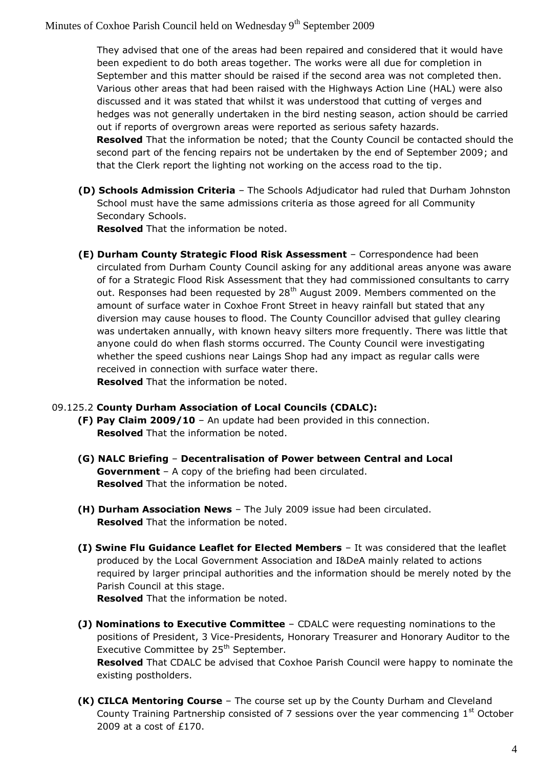They advised that one of the areas had been repaired and considered that it would have been expedient to do both areas together. The works were all due for completion in September and this matter should be raised if the second area was not completed then. Various other areas that had been raised with the Highways Action Line (HAL) were also discussed and it was stated that whilst it was understood that cutting of verges and hedges was not generally undertaken in the bird nesting season, action should be carried out if reports of overgrown areas were reported as serious safety hazards. **Resolved** That the information be noted; that the County Council be contacted should the second part of the fencing repairs not be undertaken by the end of September 2009; and that the Clerk report the lighting not working on the access road to the tip.

**(D) Schools Admission Criteria** – The Schools Adjudicator had ruled that Durham Johnston School must have the same admissions criteria as those agreed for all Community Secondary Schools.

**Resolved** That the information be noted.

**(E) Durham County Strategic Flood Risk Assessment** – Correspondence had been circulated from Durham County Council asking for any additional areas anyone was aware of for a Strategic Flood Risk Assessment that they had commissioned consultants to carry out. Responses had been requested by 28<sup>th</sup> August 2009. Members commented on the amount of surface water in Coxhoe Front Street in heavy rainfall but stated that any diversion may cause houses to flood. The County Councillor advised that gulley clearing was undertaken annually, with known heavy silters more frequently. There was little that anyone could do when flash storms occurred. The County Council were investigating whether the speed cushions near Laings Shop had any impact as regular calls were received in connection with surface water there. **Resolved** That the information be noted.

### 09.125.2 **County Durham Association of Local Councils (CDALC):**

- **(F) Pay Claim 2009/10** An update had been provided in this connection. **Resolved** That the information be noted.
- **(G) NALC Briefing Decentralisation of Power between Central and Local Government** – A copy of the briefing had been circulated. **Resolved** That the information be noted.
- **(H) Durham Association News** The July 2009 issue had been circulated. **Resolved** That the information be noted.
- **(I) Swine Flu Guidance Leaflet for Elected Members** It was considered that the leaflet produced by the Local Government Association and I&DeA mainly related to actions required by larger principal authorities and the information should be merely noted by the Parish Council at this stage.

**Resolved** That the information be noted.

**(J) Nominations to Executive Committee** – CDALC were requesting nominations to the positions of President, 3 Vice-Presidents, Honorary Treasurer and Honorary Auditor to the Executive Committee by 25<sup>th</sup> September.

**Resolved** That CDALC be advised that Coxhoe Parish Council were happy to nominate the existing postholders.

**(K) CILCA Mentoring Course** – The course set up by the County Durham and Cleveland County Training Partnership consisted of 7 sessions over the year commencing  $1<sup>st</sup>$  October 2009 at a cost of £170.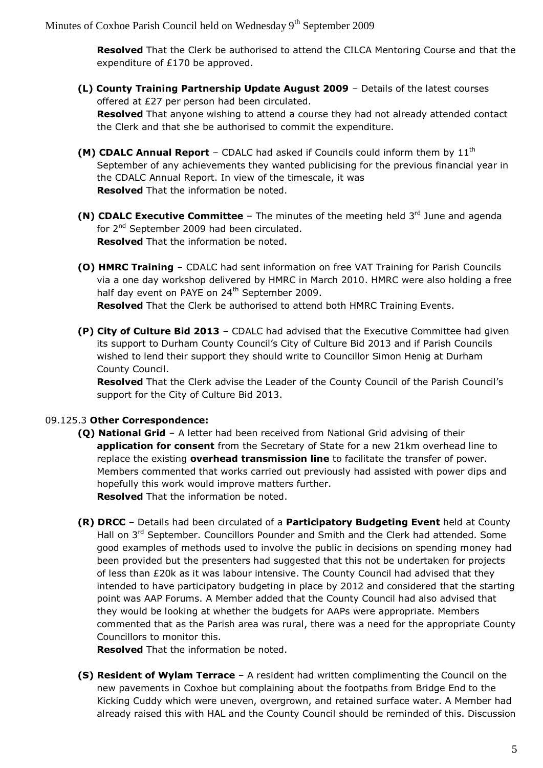**Resolved** That the Clerk be authorised to attend the CILCA Mentoring Course and that the expenditure of £170 be approved.

**(L) County Training Partnership Update August 2009** – Details of the latest courses offered at £27 per person had been circulated.

**Resolved** That anyone wishing to attend a course they had not already attended contact the Clerk and that she be authorised to commit the expenditure.

- **(M) CDALC Annual Report** CDALC had asked if Councils could inform them by 11<sup>th</sup> September of any achievements they wanted publicising for the previous financial year in the CDALC Annual Report. In view of the timescale, it was **Resolved** That the information be noted.
- **(N) CDALC Executive Committee** The minutes of the meeting held 3<sup>rd</sup> June and agenda for 2<sup>nd</sup> September 2009 had been circulated. **Resolved** That the information be noted.
- **(O) HMRC Training** CDALC had sent information on free VAT Training for Parish Councils via a one day workshop delivered by HMRC in March 2010. HMRC were also holding a free half day event on PAYE on 24<sup>th</sup> September 2009.

**Resolved** That the Clerk be authorised to attend both HMRC Training Events.

**(P) City of Culture Bid 2013** – CDALC had advised that the Executive Committee had given its support to Durham County Council's City of Culture Bid 2013 and if Parish Councils wished to lend their support they should write to Councillor Simon Henig at Durham County Council.

**Resolved** That the Clerk advise the Leader of the County Council of the Parish Council's support for the City of Culture Bid 2013.

# 09.125.3 **Other Correspondence:**

- **(Q) National Grid** A letter had been received from National Grid advising of their **application for consent** from the Secretary of State for a new 21km overhead line to replace the existing **overhead transmission line** to facilitate the transfer of power. Members commented that works carried out previously had assisted with power dips and hopefully this work would improve matters further. **Resolved** That the information be noted.
- **(R) DRCC** Details had been circulated of a **Participatory Budgeting Event** held at County Hall on  $3^{rd}$  September. Councillors Pounder and Smith and the Clerk had attended. Some good examples of methods used to involve the public in decisions on spending money had been provided but the presenters had suggested that this not be undertaken for projects of less than £20k as it was labour intensive. The County Council had advised that they intended to have participatory budgeting in place by 2012 and considered that the starting point was AAP Forums. A Member added that the County Council had also advised that they would be looking at whether the budgets for AAPs were appropriate. Members commented that as the Parish area was rural, there was a need for the appropriate County Councillors to monitor this.

**Resolved** That the information be noted.

**(S) Resident of Wylam Terrace** – A resident had written complimenting the Council on the new pavements in Coxhoe but complaining about the footpaths from Bridge End to the Kicking Cuddy which were uneven, overgrown, and retained surface water. A Member had already raised this with HAL and the County Council should be reminded of this. Discussion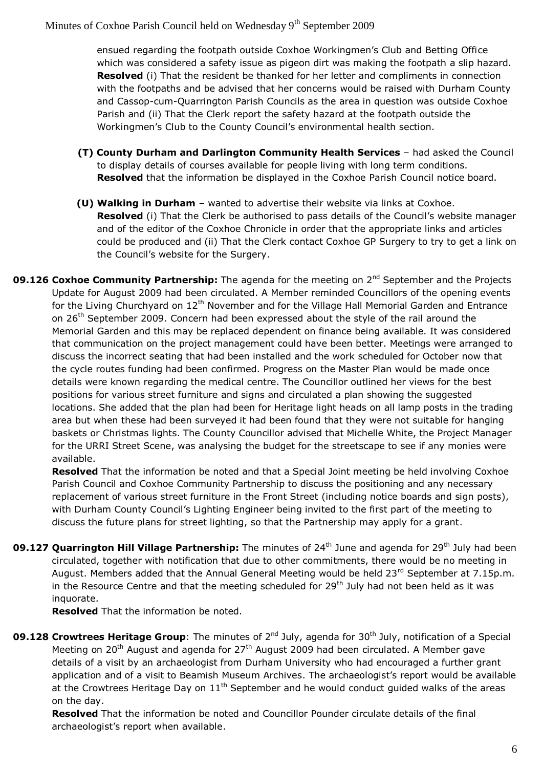ensued regarding the footpath outside Coxhoe Workingmen's Club and Betting Office which was considered a safety issue as pigeon dirt was making the footpath a slip hazard. **Resolved** (i) That the resident be thanked for her letter and compliments in connection with the footpaths and be advised that her concerns would be raised with Durham County and Cassop-cum-Quarrington Parish Councils as the area in question was outside Coxhoe Parish and (ii) That the Clerk report the safety hazard at the footpath outside the Workingmen's Club to the County Council's environmental health section.

- **(T) County Durham and Darlington Community Health Services**  had asked the Council to display details of courses available for people living with long term conditions. **Resolved** that the information be displayed in the Coxhoe Parish Council notice board.
- **(U) Walking in Durham** wanted to advertise their website via links at Coxhoe. **Resolved** (i) That the Clerk be authorised to pass details of the Council's website manager and of the editor of the Coxhoe Chronicle in order that the appropriate links and articles could be produced and (ii) That the Clerk contact Coxhoe GP Surgery to try to get a link on the Council's website for the Surgery.
- **09.126 Coxhoe Community Partnership:** The agenda for the meeting on 2<sup>nd</sup> September and the Projects Update for August 2009 had been circulated. A Member reminded Councillors of the opening events for the Living Churchyard on  $12<sup>th</sup>$  November and for the Village Hall Memorial Garden and Entrance on 26<sup>th</sup> September 2009. Concern had been expressed about the style of the rail around the Memorial Garden and this may be replaced dependent on finance being available. It was considered that communication on the project management could have been better. Meetings were arranged to discuss the incorrect seating that had been installed and the work scheduled for October now that the cycle routes funding had been confirmed. Progress on the Master Plan would be made once details were known regarding the medical centre. The Councillor outlined her views for the best positions for various street furniture and signs and circulated a plan showing the suggested locations. She added that the plan had been for Heritage light heads on all lamp posts in the trading area but when these had been surveyed it had been found that they were not suitable for hanging baskets or Christmas lights. The County Councillor advised that Michelle White, the Project Manager for the URRI Street Scene, was analysing the budget for the streetscape to see if any monies were available.

**Resolved** That the information be noted and that a Special Joint meeting be held involving Coxhoe Parish Council and Coxhoe Community Partnership to discuss the positioning and any necessary replacement of various street furniture in the Front Street (including notice boards and sign posts), with Durham County Council's Lighting Engineer being invited to the first part of the meeting to discuss the future plans for street lighting, so that the Partnership may apply for a grant.

**09.127 Quarrington Hill Village Partnership:** The minutes of 24<sup>th</sup> June and agenda for 29<sup>th</sup> July had been circulated, together with notification that due to other commitments, there would be no meeting in August. Members added that the Annual General Meeting would be held  $23^{rd}$  September at 7.15p.m. in the Resource Centre and that the meeting scheduled for  $29<sup>th</sup>$  July had not been held as it was inquorate.

**Resolved** That the information be noted.

**09.128 Crowtrees Heritage Group**: The minutes of 2<sup>nd</sup> July, agenda for 30<sup>th</sup> July, notification of a Special Meeting on 20<sup>th</sup> August and agenda for  $27<sup>th</sup>$  August 2009 had been circulated. A Member gave details of a visit by an archaeologist from Durham University who had encouraged a further grant application and of a visit to Beamish Museum Archives. The archaeologist's report would be available at the Crowtrees Heritage Day on  $11<sup>th</sup>$  September and he would conduct guided walks of the areas on the day.

**Resolved** That the information be noted and Councillor Pounder circulate details of the final archaeologist's report when available.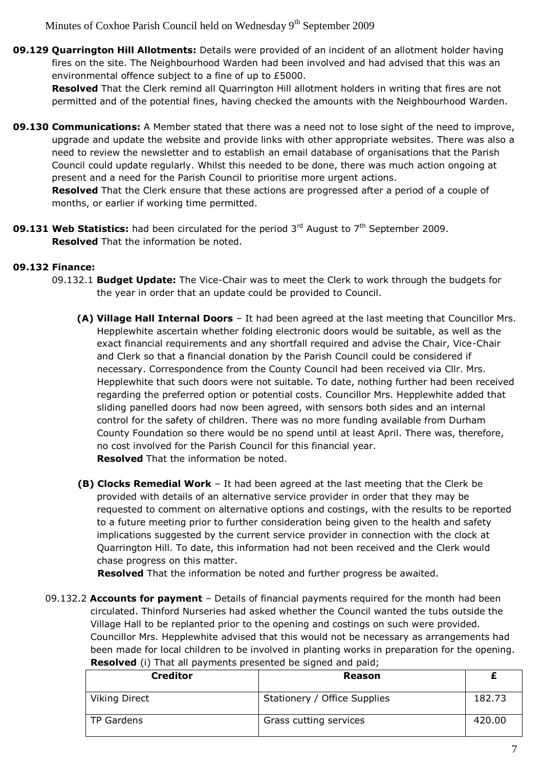**09.129 Quarrington Hill Allotments:** Details were provided of an incident of an allotment holder having fires on the site. The Neighbourhood Warden had been involved and had advised that this was an environmental offence subject to a fine of up to £5000.

**Resolved** That the Clerk remind all Quarrington Hill allotment holders in writing that fires are not permitted and of the potential fines, having checked the amounts with the Neighbourhood Warden.

**09.130 Communications:** A Member stated that there was a need not to lose sight of the need to improve, upgrade and update the website and provide links with other appropriate websites. There was also a need to review the newsletter and to establish an email database of organisations that the Parish Council could update regularly. Whilst this needed to be done, there was much action ongoing at present and a need for the Parish Council to prioritise more urgent actions.

**Resolved** That the Clerk ensure that these actions are progressed after a period of a couple of months, or earlier if working time permitted.

**09.131 Web Statistics:** had been circulated for the period 3<sup>rd</sup> August to 7<sup>th</sup> September 2009. **Resolved** That the information be noted.

# **09.132 Finance:**

- 09.132.1 **Budget Update:** The Vice-Chair was to meet the Clerk to work through the budgets for the year in order that an update could be provided to Council.
	- **(A) Village Hall Internal Doors** It had been agreed at the last meeting that Councillor Mrs. Hepplewhite ascertain whether folding electronic doors would be suitable, as well as the exact financial requirements and any shortfall required and advise the Chair, Vice-Chair and Clerk so that a financial donation by the Parish Council could be considered if necessary. Correspondence from the County Council had been received via Cllr. Mrs. Hepplewhite that such doors were not suitable. To date, nothing further had been received regarding the preferred option or potential costs. Councillor Mrs. Hepplewhite added that sliding panelled doors had now been agreed, with sensors both sides and an internal control for the safety of children. There was no more funding available from Durham County Foundation so there would be no spend until at least April. There was, therefore, no cost involved for the Parish Council for this financial year. **Resolved** That the information be noted.
	- **(B) Clocks Remedial Work** It had been agreed at the last meeting that the Clerk be provided with details of an alternative service provider in order that they may be requested to comment on alternative options and costings, with the results to be reported to a future meeting prior to further consideration being given to the health and safety implications suggested by the current service provider in connection with the clock at Quarrington Hill. To date, this information had not been received and the Clerk would chase progress on this matter.

**Resolved** That the information be noted and further progress be awaited.

09.132.2 **Accounts for payment** – Details of financial payments required for the month had been circulated. Thinford Nurseries had asked whether the Council wanted the tubs outside the Village Hall to be replanted prior to the opening and costings on such were provided. Councillor Mrs. Hepplewhite advised that this would not be necessary as arrangements had been made for local children to be involved in planting works in preparation for the opening.

| <b>Creditor</b> | <b>Reason</b>                |        |
|-----------------|------------------------------|--------|
| Viking Direct   | Stationery / Office Supplies | 182.73 |
| TP Gardens      | Grass cutting services       | 420.00 |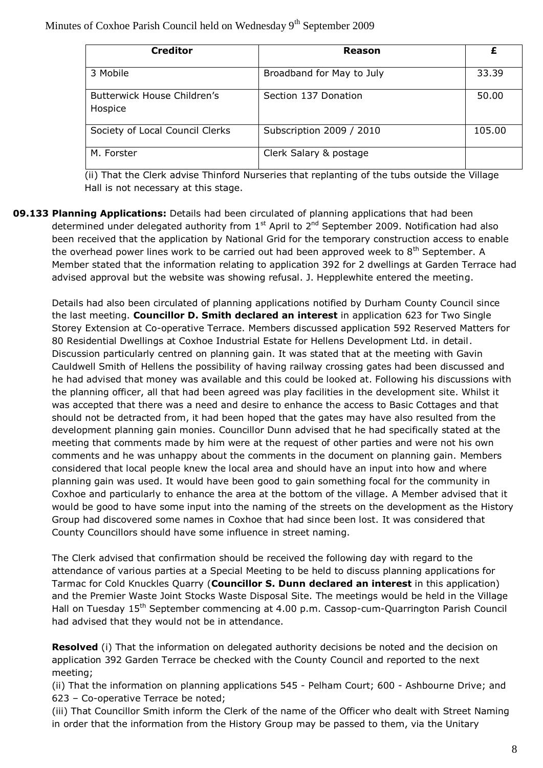| <b>Creditor</b>                        | Reason                    | £      |
|----------------------------------------|---------------------------|--------|
| 3 Mobile                               | Broadband for May to July | 33.39  |
| Butterwick House Children's<br>Hospice | Section 137 Donation      | 50.00  |
| Society of Local Council Clerks        | Subscription 2009 / 2010  | 105.00 |
| M. Forster                             | Clerk Salary & postage    |        |

(ii) That the Clerk advise Thinford Nurseries that replanting of the tubs outside the Village Hall is not necessary at this stage.

**09.133 Planning Applications:** Details had been circulated of planning applications that had been determined under delegated authority from  $1<sup>st</sup>$  April to  $2<sup>nd</sup>$  September 2009. Notification had also been received that the application by National Grid for the temporary construction access to enable the overhead power lines work to be carried out had been approved week to 8<sup>th</sup> September. A Member stated that the information relating to application 392 for 2 dwellings at Garden Terrace had advised approval but the website was showing refusal. J. Hepplewhite entered the meeting.

Details had also been circulated of planning applications notified by Durham County Council since the last meeting. **Councillor D. Smith declared an interest** in application 623 for Two Single Storey Extension at Co-operative Terrace. Members discussed application 592 Reserved Matters for 80 Residential Dwellings at Coxhoe Industrial Estate for Hellens Development Ltd. in detail. Discussion particularly centred on planning gain. It was stated that at the meeting with Gavin Cauldwell Smith of Hellens the possibility of having railway crossing gates had been discussed and he had advised that money was available and this could be looked at. Following his discussions with the planning officer, all that had been agreed was play facilities in the development site. Whilst it was accepted that there was a need and desire to enhance the access to Basic Cottages and that should not be detracted from, it had been hoped that the gates may have also resulted from the development planning gain monies. Councillor Dunn advised that he had specifically stated at the meeting that comments made by him were at the request of other parties and were not his own comments and he was unhappy about the comments in the document on planning gain. Members considered that local people knew the local area and should have an input into how and where planning gain was used. It would have been good to gain something focal for the community in Coxhoe and particularly to enhance the area at the bottom of the village. A Member advised that it would be good to have some input into the naming of the streets on the development as the History Group had discovered some names in Coxhoe that had since been lost. It was considered that County Councillors should have some influence in street naming.

The Clerk advised that confirmation should be received the following day with regard to the attendance of various parties at a Special Meeting to be held to discuss planning applications for Tarmac for Cold Knuckles Quarry (**Councillor S. Dunn declared an interest** in this application) and the Premier Waste Joint Stocks Waste Disposal Site. The meetings would be held in the Village Hall on Tuesday 15<sup>th</sup> September commencing at 4.00 p.m. Cassop-cum-Quarrington Parish Council had advised that they would not be in attendance.

**Resolved** (i) That the information on delegated authority decisions be noted and the decision on application 392 Garden Terrace be checked with the County Council and reported to the next meeting;

(ii) That the information on planning applications 545 - Pelham Court; 600 - Ashbourne Drive; and 623 – Co-operative Terrace be noted;

(iii) That Councillor Smith inform the Clerk of the name of the Officer who dealt with Street Naming in order that the information from the History Group may be passed to them, via the Unitary